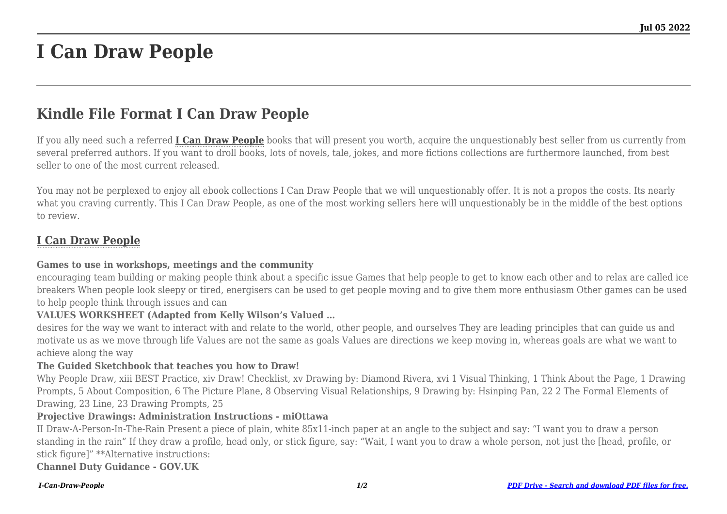# **I Can Draw People**

## **Kindle File Format I Can Draw People**

If you ally need such a referred **[I Can Draw People](http://goldwoodgardens.com)** books that will present you worth, acquire the unquestionably best seller from us currently from several preferred authors. If you want to droll books, lots of novels, tale, jokes, and more fictions collections are furthermore launched, from best seller to one of the most current released.

You may not be perplexed to enjoy all ebook collections I Can Draw People that we will unquestionably offer. It is not a propos the costs. Its nearly what you craving currently. This I Can Draw People, as one of the most working sellers here will unquestionably be in the middle of the best options to review.

## **[I Can Draw People](http://goldwoodgardens.com/I-Can-Draw-People.pdf)**

#### **Games to use in workshops, meetings and the community**

encouraging team building or making people think about a specific issue Games that help people to get to know each other and to relax are called ice breakers When people look sleepy or tired, energisers can be used to get people moving and to give them more enthusiasm Other games can be used to help people think through issues and can

#### **VALUES WORKSHEET (Adapted from Kelly Wilson's Valued …**

desires for the way we want to interact with and relate to the world, other people, and ourselves They are leading principles that can guide us and motivate us as we move through life Values are not the same as goals Values are directions we keep moving in, whereas goals are what we want to achieve along the way

#### **The Guided Sketchbook that teaches you how to Draw!**

Why People Draw, xiii BEST Practice, xiv Draw! Checklist, xv Drawing by: Diamond Rivera, xvi 1 Visual Thinking, 1 Think About the Page, 1 Drawing Prompts, 5 About Composition, 6 The Picture Plane, 8 Observing Visual Relationships, 9 Drawing by: Hsinping Pan, 22 2 The Formal Elements of Drawing, 23 Line, 23 Drawing Prompts, 25

#### **Projective Drawings: Administration Instructions - miOttawa**

II Draw-A-Person-In-The-Rain Present a piece of plain, white 85x11-inch paper at an angle to the subject and say: "I want you to draw a person standing in the rain" If they draw a profile, head only, or stick figure, say: "Wait, I want you to draw a whole person, not just the [head, profile, or stick figure]" \*\*Alternative instructions:

**Channel Duty Guidance - GOV.UK**